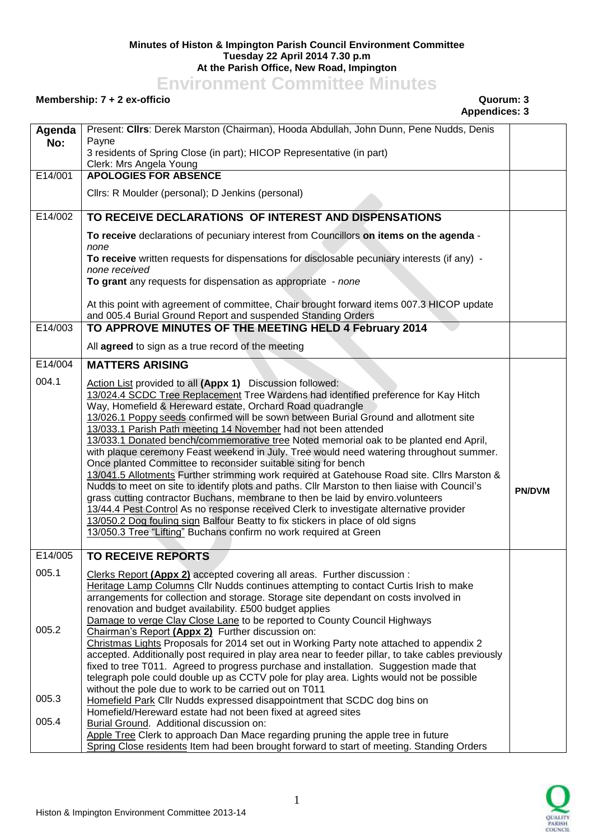## **Minutes of Histon & Impington Parish Council Environment Committee Tuesday 22 April 2014 7.30 p.m At the Parish Office, New Road, Impington**

## **Environment Committee Minutes**

## **Membership: 7 + 2 ex-officio Quorum: 3**

## **Appendices: 3**

| Agenda  | Present: Clirs: Derek Marston (Chairman), Hooda Abdullah, John Dunn, Pene Nudds, Denis                                                                    |               |
|---------|-----------------------------------------------------------------------------------------------------------------------------------------------------------|---------------|
| No:     | Payne<br>3 residents of Spring Close (in part); HICOP Representative (in part)                                                                            |               |
|         | Clerk: Mrs Angela Young                                                                                                                                   |               |
| E14/001 | <b>APOLOGIES FOR ABSENCE</b>                                                                                                                              |               |
|         | Cllrs: R Moulder (personal); D Jenkins (personal)                                                                                                         |               |
| E14/002 | TO RECEIVE DECLARATIONS OF INTEREST AND DISPENSATIONS                                                                                                     |               |
|         | To receive declarations of pecuniary interest from Councillors on items on the agenda -<br>none                                                           |               |
|         | To receive written requests for dispensations for disclosable pecuniary interests (if any) -                                                              |               |
|         | none received<br>To grant any requests for dispensation as appropriate - none                                                                             |               |
|         | At this point with agreement of committee, Chair brought forward items 007.3 HICOP update<br>and 005.4 Burial Ground Report and suspended Standing Orders |               |
| E14/003 | TO APPROVE MINUTES OF THE MEETING HELD 4 February 2014                                                                                                    |               |
|         | All agreed to sign as a true record of the meeting                                                                                                        |               |
| E14/004 | <b>MATTERS ARISING</b>                                                                                                                                    |               |
| 004.1   | Action List provided to all (Appx 1) Discussion followed:                                                                                                 |               |
|         | 13/024.4 SCDC Tree Replacement Tree Wardens had identified preference for Kay Hitch                                                                       |               |
|         | Way, Homefield & Hereward estate, Orchard Road quadrangle                                                                                                 |               |
|         | 13/026.1 Poppy seeds confirmed will be sown between Burial Ground and allotment site                                                                      |               |
|         | 13/033.1 Parish Path meeting 14 November had not been attended<br>13/033.1 Donated bench/commemorative tree Noted memorial oak to be planted end April,   |               |
|         | with plaque ceremony Feast weekend in July. Tree would need watering throughout summer.                                                                   |               |
|         | Once planted Committee to reconsider suitable siting for bench                                                                                            |               |
|         | 13/041.5 Allotments Further strimming work required at Gatehouse Road site. Cllrs Marston &                                                               |               |
|         | Nudds to meet on site to identify plots and paths. Cllr Marston to then liaise with Council's                                                             | <b>PN/DVM</b> |
|         | grass cutting contractor Buchans, membrane to then be laid by enviro.volunteers                                                                           |               |
|         | 13/44.4 Pest Control As no response received Clerk to investigate alternative provider                                                                    |               |
|         | 13/050.2 Dog fouling sign Balfour Beatty to fix stickers in place of old signs                                                                            |               |
|         | 13/050.3 Tree "Lifting" Buchans confirm no work required at Green                                                                                         |               |
| E14/005 | <b>TO RECEIVE REPORTS</b>                                                                                                                                 |               |
| 005.1   | Clerks Report (Appx 2) accepted covering all areas. Further discussion :                                                                                  |               |
|         | Heritage Lamp Columns Cllr Nudds continues attempting to contact Curtis Irish to make                                                                     |               |
|         | arrangements for collection and storage. Storage site dependant on costs involved in                                                                      |               |
|         | renovation and budget availability. £500 budget applies                                                                                                   |               |
| 005.2   | Damage to verge Clay Close Lane to be reported to County Council Highways                                                                                 |               |
|         | Chairman's Report (Appx 2) Further discussion on:<br>Christmas Lights Proposals for 2014 set out in Working Party note attached to appendix 2             |               |
|         | accepted. Additionally post required in play area near to feeder pillar, to take cables previously                                                        |               |
|         | fixed to tree T011. Agreed to progress purchase and installation. Suggestion made that                                                                    |               |
|         | telegraph pole could double up as CCTV pole for play area. Lights would not be possible                                                                   |               |
|         | without the pole due to work to be carried out on T011                                                                                                    |               |
| 005.3   | Homefield Park Cllr Nudds expressed disappointment that SCDC dog bins on                                                                                  |               |
|         | Homefield/Hereward estate had not been fixed at agreed sites                                                                                              |               |
| 005.4   | Burial Ground. Additional discussion on:                                                                                                                  |               |
|         | Apple Tree Clerk to approach Dan Mace regarding pruning the apple tree in future                                                                          |               |
|         | Spring Close residents Item had been brought forward to start of meeting. Standing Orders                                                                 |               |

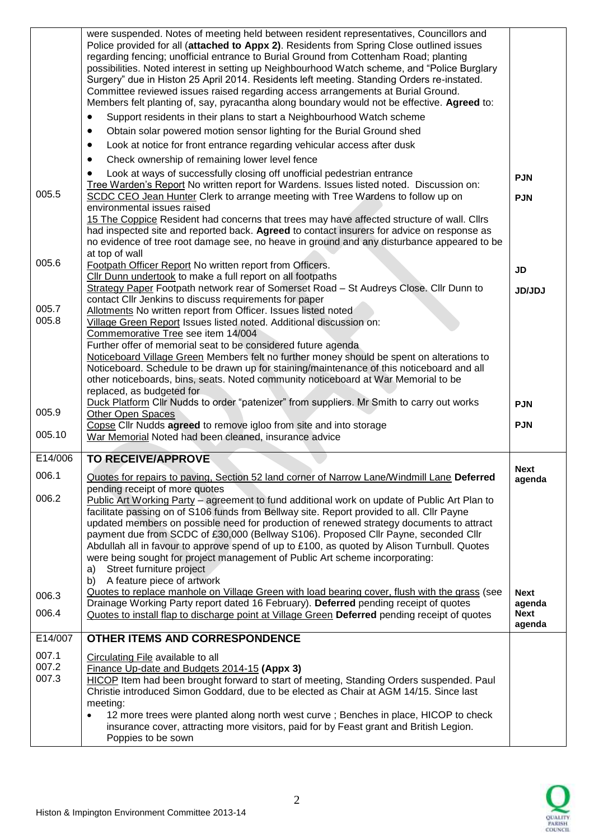|         | were suspended. Notes of meeting held between resident representatives, Councillors and<br>Police provided for all (attached to Appx 2). Residents from Spring Close outlined issues<br>regarding fencing; unofficial entrance to Burial Ground from Cottenham Road; planting<br>possibilities. Noted interest in setting up Neighbourhood Watch scheme, and "Police Burglary<br>Surgery" due in Histon 25 April 2014. Residents left meeting. Standing Orders re-instated.<br>Committee reviewed issues raised regarding access arrangements at Burial Ground.<br>Members felt planting of, say, pyracantha along boundary would not be effective. Agreed to: |                          |
|---------|----------------------------------------------------------------------------------------------------------------------------------------------------------------------------------------------------------------------------------------------------------------------------------------------------------------------------------------------------------------------------------------------------------------------------------------------------------------------------------------------------------------------------------------------------------------------------------------------------------------------------------------------------------------|--------------------------|
|         | Support residents in their plans to start a Neighbourhood Watch scheme                                                                                                                                                                                                                                                                                                                                                                                                                                                                                                                                                                                         |                          |
|         | Obtain solar powered motion sensor lighting for the Burial Ground shed<br>$\bullet$                                                                                                                                                                                                                                                                                                                                                                                                                                                                                                                                                                            |                          |
|         | Look at notice for front entrance regarding vehicular access after dusk<br>٠                                                                                                                                                                                                                                                                                                                                                                                                                                                                                                                                                                                   |                          |
|         | Check ownership of remaining lower level fence<br>٠                                                                                                                                                                                                                                                                                                                                                                                                                                                                                                                                                                                                            |                          |
| 005.5   | Look at ways of successfully closing off unofficial pedestrian entrance<br>٠<br>Tree Warden's Report No written report for Wardens. Issues listed noted. Discussion on:<br>SCDC CEO Jean Hunter Clerk to arrange meeting with Tree Wardens to follow up on                                                                                                                                                                                                                                                                                                                                                                                                     | <b>PJN</b><br><b>PJN</b> |
|         | environmental issues raised<br>15 The Coppice Resident had concerns that trees may have affected structure of wall. Clirs<br>had inspected site and reported back. Agreed to contact insurers for advice on response as<br>no evidence of tree root damage see, no heave in ground and any disturbance appeared to be                                                                                                                                                                                                                                                                                                                                          |                          |
| 005.6   | at top of wall<br>Footpath Officer Report No written report from Officers.                                                                                                                                                                                                                                                                                                                                                                                                                                                                                                                                                                                     |                          |
|         | Cllr Dunn undertook to make a full report on all footpaths                                                                                                                                                                                                                                                                                                                                                                                                                                                                                                                                                                                                     | <b>JD</b>                |
| 005.7   | Strategy Paper Footpath network rear of Somerset Road - St Audreys Close. Cllr Dunn to<br>contact Cllr Jenkins to discuss requirements for paper<br>Allotments No written report from Officer. Issues listed noted                                                                                                                                                                                                                                                                                                                                                                                                                                             | <b>JD/JDJ</b>            |
| 005.8   | Village Green Report Issues listed noted. Additional discussion on:                                                                                                                                                                                                                                                                                                                                                                                                                                                                                                                                                                                            |                          |
|         | Commemorative Tree see item 14/004<br>Further offer of memorial seat to be considered future agenda                                                                                                                                                                                                                                                                                                                                                                                                                                                                                                                                                            |                          |
|         | Noticeboard Village Green Members felt no further money should be spent on alterations to                                                                                                                                                                                                                                                                                                                                                                                                                                                                                                                                                                      |                          |
|         | Noticeboard. Schedule to be drawn up for staining/maintenance of this noticeboard and all                                                                                                                                                                                                                                                                                                                                                                                                                                                                                                                                                                      |                          |
|         | other noticeboards, bins, seats. Noted community noticeboard at War Memorial to be                                                                                                                                                                                                                                                                                                                                                                                                                                                                                                                                                                             |                          |
|         | replaced, as budgeted for<br>Duck Platform Cllr Nudds to order "patenizer" from suppliers. Mr Smith to carry out works                                                                                                                                                                                                                                                                                                                                                                                                                                                                                                                                         | <b>PJN</b>               |
| 005.9   | <b>Other Open Spaces</b>                                                                                                                                                                                                                                                                                                                                                                                                                                                                                                                                                                                                                                       |                          |
|         | Copse Cllr Nudds agreed to remove igloo from site and into storage                                                                                                                                                                                                                                                                                                                                                                                                                                                                                                                                                                                             | <b>PJN</b>               |
| 005.10  | War Memorial Noted had been cleaned, insurance advice                                                                                                                                                                                                                                                                                                                                                                                                                                                                                                                                                                                                          |                          |
| E14/006 | <b>TO RECEIVE/APPROVE</b>                                                                                                                                                                                                                                                                                                                                                                                                                                                                                                                                                                                                                                      |                          |
| 006.1   | Quotes for repairs to paving, Section 52 land corner of Narrow Lane/Windmill Lane Deferred                                                                                                                                                                                                                                                                                                                                                                                                                                                                                                                                                                     | <b>Next</b><br>agenda    |
|         | pending receipt of more quotes                                                                                                                                                                                                                                                                                                                                                                                                                                                                                                                                                                                                                                 |                          |
| 006.2   | Public Art Working Party – agreement to fund additional work on update of Public Art Plan to<br>facilitate passing on of S106 funds from Bellway site. Report provided to all. Cllr Payne                                                                                                                                                                                                                                                                                                                                                                                                                                                                      |                          |
|         | updated members on possible need for production of renewed strategy documents to attract                                                                                                                                                                                                                                                                                                                                                                                                                                                                                                                                                                       |                          |
|         | payment due from SCDC of £30,000 (Bellway S106). Proposed Cllr Payne, seconded Cllr                                                                                                                                                                                                                                                                                                                                                                                                                                                                                                                                                                            |                          |
|         | Abdullah all in favour to approve spend of up to £100, as quoted by Alison Turnbull. Quotes                                                                                                                                                                                                                                                                                                                                                                                                                                                                                                                                                                    |                          |
|         | were being sought for project management of Public Art scheme incorporating:<br>Street furniture project<br>a)                                                                                                                                                                                                                                                                                                                                                                                                                                                                                                                                                 |                          |
|         | A feature piece of artwork<br>b)                                                                                                                                                                                                                                                                                                                                                                                                                                                                                                                                                                                                                               |                          |
| 006.3   | Quotes to replace manhole on Village Green with load bearing cover, flush with the grass (see                                                                                                                                                                                                                                                                                                                                                                                                                                                                                                                                                                  | <b>Next</b>              |
| 006.4   | Drainage Working Party report dated 16 February). Deferred pending receipt of quotes                                                                                                                                                                                                                                                                                                                                                                                                                                                                                                                                                                           | agenda<br><b>Next</b>    |
|         | Quotes to install flap to discharge point at Village Green Deferred pending receipt of quotes                                                                                                                                                                                                                                                                                                                                                                                                                                                                                                                                                                  | agenda                   |
| E14/007 | OTHER ITEMS AND CORRESPONDENCE                                                                                                                                                                                                                                                                                                                                                                                                                                                                                                                                                                                                                                 |                          |
| 007.1   | Circulating File available to all                                                                                                                                                                                                                                                                                                                                                                                                                                                                                                                                                                                                                              |                          |
| 007.2   | Finance Up-date and Budgets 2014-15 (Appx 3)                                                                                                                                                                                                                                                                                                                                                                                                                                                                                                                                                                                                                   |                          |
| 007.3   | HICOP Item had been brought forward to start of meeting, Standing Orders suspended. Paul                                                                                                                                                                                                                                                                                                                                                                                                                                                                                                                                                                       |                          |
|         | Christie introduced Simon Goddard, due to be elected as Chair at AGM 14/15. Since last<br>meeting:                                                                                                                                                                                                                                                                                                                                                                                                                                                                                                                                                             |                          |
|         | 12 more trees were planted along north west curve; Benches in place, HICOP to check<br>$\bullet$                                                                                                                                                                                                                                                                                                                                                                                                                                                                                                                                                               |                          |
|         |                                                                                                                                                                                                                                                                                                                                                                                                                                                                                                                                                                                                                                                                |                          |
|         | insurance cover, attracting more visitors, paid for by Feast grant and British Legion.<br>Poppies to be sown                                                                                                                                                                                                                                                                                                                                                                                                                                                                                                                                                   |                          |